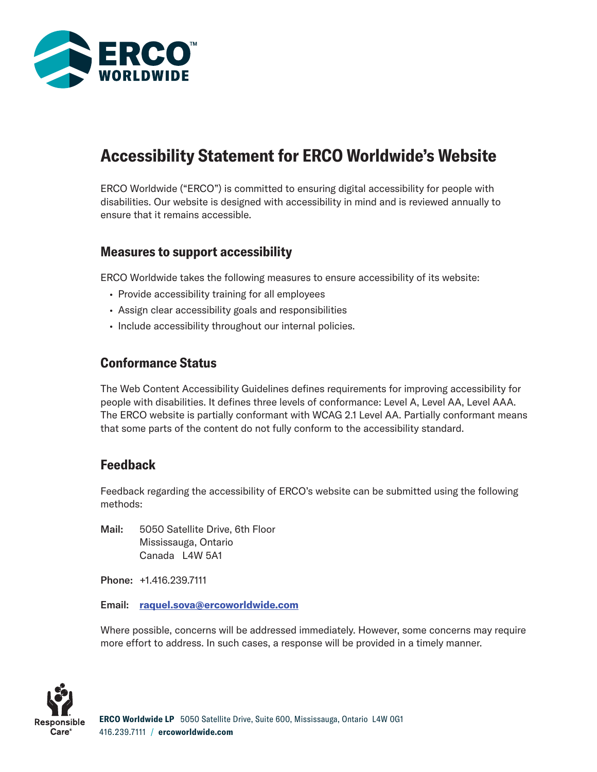

# Accessibility Statement for ERCO Worldwide's Website

ERCO Worldwide ("ERCO") is committed to ensuring digital accessibility for people with disabilities. Our website is designed with accessibility in mind and is reviewed annually to ensure that it remains accessible.

#### Measures to support accessibility

ERCO Worldwide takes the following measures to ensure accessibility of its website:

- Provide accessibility training for all employees
- Assign clear accessibility goals and responsibilities
- Include accessibility throughout our internal policies.

## Conformance Status

The Web Content Accessibility Guidelines defines requirements for improving accessibility for people with disabilities. It defines three levels of conformance: Level A, Level AA, Level AAA. The ERCO website is partially conformant with WCAG 2.1 Level AA. Partially conformant means that some parts of the content do not fully conform to the accessibility standard.

#### Feedback

Feedback regarding the accessibility of ERCO's website can be submitted using the following methods:

Mail: 5050 Satellite Drive, 6th Floor Mississauga, Ontario Canada L4W 5A1

Phone: +1.416.239.7111

Email: [raquel.sova@ercoworldwide.com](mailto:raquel.sova@ercoworldwide.com)

Where possible, concerns will be addressed immediately. However, some concerns may require more effort to address. In such cases, a response will be provided in a timely manner.